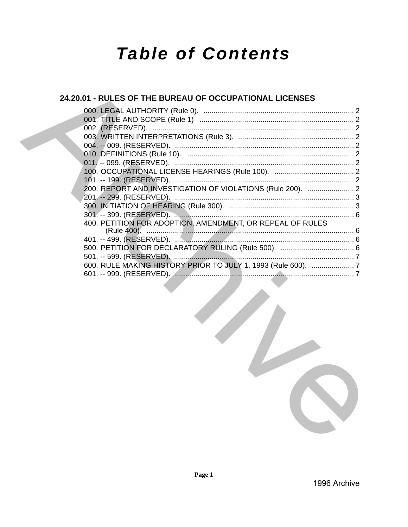# **Table of Contents**

# 24.20.01 - RULES OF THE BUREAU OF OCCUPATIONAL LICENSES

| 200. REPORT AND INVESTIGATION OF VIOLATIONS (Rule 200).  2    |  |
|---------------------------------------------------------------|--|
|                                                               |  |
|                                                               |  |
|                                                               |  |
| 400. PETITION FOR ADOPTION, AMENDMENT, OR REPEAL OF RULES     |  |
|                                                               |  |
|                                                               |  |
|                                                               |  |
|                                                               |  |
| 600. RULE MAKING HISTORY PRIOR TO JULY 1, 1993 (Rule 600).  7 |  |
|                                                               |  |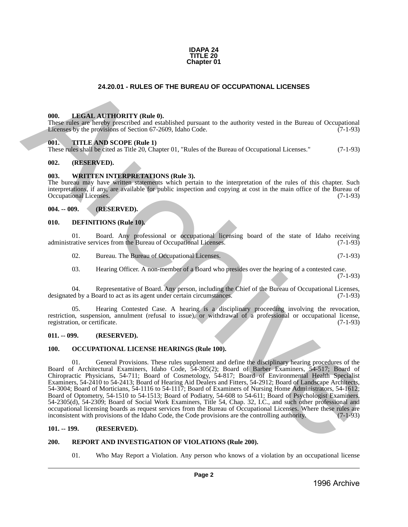

# **24.20.01 - RULES OF THE BUREAU OF OCCUPATIONAL LICENSES**

# <span id="page-1-1"></span>**000. LEGAL AUTHORITY (Rule 0).**

These rules are hereby prescribed and established pursuant to the authority vested in the Bureau of Occupational Licenses by the provisions of Section 67-2609, Idaho Code. (7-1-93)

#### <span id="page-1-2"></span>**001. TITLE AND SCOPE (Rule 1)**

These rules shall be cited as Title 20, Chapter 01, "Rules of the Bureau of Occupational Licenses." (7-1-93)

# <span id="page-1-3"></span>**002. (RESERVED).**

#### <span id="page-1-4"></span>**003. WRITTEN INTERPRETATIONS (Rule 3).**

The bureau may have written statements which pertain to the interpretation of the rules of this chapter. Such interpretations, if any, are available for public inspection and copying at cost in the main office of the Bureau of Occupational Licenses. (7-1-93)

# <span id="page-1-5"></span>**004. -- 009. (RESERVED).**

#### <span id="page-1-6"></span>**010. DEFINITIONS (Rule 10).**

01. Board. Any professional or occupational licensing board of the state of Idaho receiving rative services from the Bureau of Occupational Licenses. (7-1-93) administrative services from the Bureau of Occupational Licenses.

02. Bureau. The Bureau of Occupational Licenses. (7-1-93)

03. Hearing Officer. A non-member of a Board who presides over the hearing of a contested case. (7-1-93)

04. Representative of Board. Any person, including the Chief of the Bureau of Occupational Licenses,<br>ed by a Board to act as its agent under certain circumstances. (7-1-93) designated by a Board to act as its agent under certain circumstances.

05. Hearing Contested Case. A hearing is a disciplinary proceeding involving the revocation, restriction, suspension, annulment (refusal to issue), or withdrawal of a professional or occupational license, registration, or certificate. (7-1-93) registration, or certificate.

#### <span id="page-1-7"></span>**011. -- 099. (RESERVED).**

#### <span id="page-1-8"></span>**100. OCCUPATIONAL LICENSE HEARINGS (Rule 100).**

<span id="page-1-0"></span>01. General Provisions. These rules supplement and define the disciplinary hearing procedures of the Board of Architectural Examiners, Idaho Code, 54-305(2); Board of Barber Examiners, 54-517; Board of Chiropractic Physicians, 54-711; Board of Cosmetology, 54-817; Board of Environmental Health Specialist Examiners, 54-2410 to 54-2413; Board of Hearing Aid Dealers and Fitters, 54-2912; Board of Landscape Architects, 54-3004; Board of Morticians, 54-1116 to 54-1117; Board of Examiners of Nursing Home Administrators, 54-1612; Board of Optometry, 54-1510 to 54-1513; Board of Podiatry, 54-608 to 54-611; Board of Psychologist Examiners, 54-2305(d), 54-2309; Board of Social Work Examiners, Title 54, Chap. 32, I.C., and such other professional and occupational licensing boards as request services from the Bureau of Occupational Licenses. Where these rules are inconsistent with provisions of the Idaho Code, the Code provisions are the controlling authority. (7-1-93) **24.20.01 RULES OF THE BUREAU OF OCCUPATIONAL LICENSES**<br>
THE **LEVENT ATTITUDITTY (Buth B**)<br>
The material of the material of the material of the material of the material of the material of Computer and Computer and Compu

#### <span id="page-1-9"></span>**101. -- 199. (RESERVED).**

# <span id="page-1-10"></span>**200. REPORT AND INVESTIGATION OF VIOLATIONS (Rule 200).**

01. Who May Report a Violation. Any person who knows of a violation by an occupational license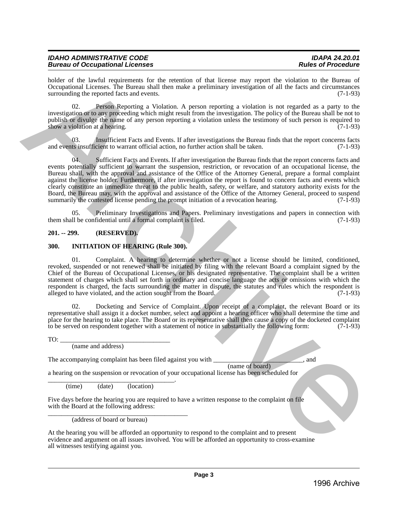| <b>IDAHO ADMINISTRATIVE CODE</b>       | <b>IDAPA 24.20.01</b>     |
|----------------------------------------|---------------------------|
| <b>Bureau of Occupational Licenses</b> | <b>Rules of Procedure</b> |

holder of the lawful requirements for the retention of that license may report the violation to the Bureau of Occupational Licenses. The Bureau shall then make a preliminary investigation of all the facts and circumstances surrounding the reported facts and events. (7-1-93)

02. Person Reporting a Violation. A person reporting a violation is not regarded as a party to the investigation or to any proceeding which might result from the investigation. The policy of the Bureau shall be not to publish or divulge the name of any person reporting a violation unless the testimony of such person is required to show a violation at a hearing.  $(7-1-93)$ 

03. Insufficient Facts and Events. If after investigations the Bureau finds that the report concerns facts and events insufficient to warrant official action, no further action shall be taken. (7-1-93)

04. Sufficient Facts and Events. If after investigation the Bureau finds that the report concerns facts and events potentially sufficient to warrant the suspension, restriction, or revocation of an occupational license, the Bureau shall, with the approval and assistance of the Office of the Attorney General, prepare a formal complaint against the license holder. Furthermore, if after investigation the report is found to concern facts and events which clearly constitute an immediate threat to the public health, safety, or welfare, and statutory authority exists for the Board, the Bureau may, with the approval and assistance of the Office of the Attorney General, proceed to suspend summarily the contested license pending the prompt initiation of a revocation hearing.  $(7-1-93)$ Note of the layer rate for the mention of the literature of the literature of the literature of the distribution of the mention of the state of the literature of the mention of the literature of the state of the literatur

05. Preliminary Investigations and Papers. Preliminary investigations and papers in connection with <br>1 be confidential until a formal complaint is filed. (7-1-93) them shall be confidential until a formal complaint is filed.

# <span id="page-2-0"></span>**201. -- 299. (RESERVED).**

# <span id="page-2-1"></span>**300. INITIATION OF HEARING (Rule 300).**

01. Complaint. A hearing to determine whether or not a license should be limited, conditioned, revoked, suspended or not renewed shall be initiated by filing with the relevant Board a complaint signed by the Chief of the Bureau of Occupational Licenses, or his designated representative. The complaint shall be a written statement of charges which shall set forth in ordinary and concise language the acts or omissions with which the respondent is charged, the facts surrounding the matter in dispute, the statutes and rules which the respondent is alleged to have violated, and the action sought from the Board. (7-1-93)

02. Docketing and Service of Complaint. Upon receipt of a complaint, the relevant Board or its representative shall assign it a docket number, select and appoint a hearing officer who shall determine the time and place for the hearing to take place. The Board or its representative shall then cause a copy of the docketed complaint to be served on respondent together with a statement of notice in substantially the following form: (7to be served on respondent together with a statement of notice in substantially the following form:

 $TO:$ 

(name and address)

The accompanying complaint has been filed against you with  $\qquad \qquad$ , and

(name of board)

a hearing on the suspension or revocation of your occupational license has been scheduled for

\_\_\_\_\_\_\_\_\_\_\_\_\_\_\_\_\_\_\_\_\_\_\_\_\_\_\_\_\_\_\_\_\_\_\_\_\_\_. (time) (date) (location)

Five days before the hearing you are required to have a written response to the complaint on file with the Board at the following address:

\_\_\_\_\_\_\_\_\_\_\_\_\_\_\_\_\_\_\_\_\_\_\_\_\_\_\_\_\_\_\_\_\_\_\_\_\_\_\_\_\_\_ (address of board or bureau)

At the hearing you will be afforded an opportunity to respond to the complaint and to present evidence and argument on all issues involved. You will be afforded an opportunity to cross-examine all witnesses testifying against you.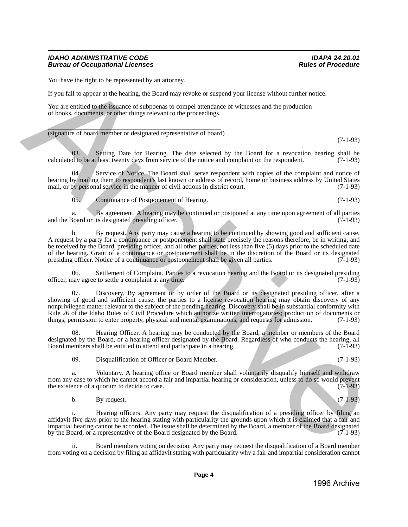# *IDAHO ADMINISTRATIVE CODE IDAPA 24.20.01* **Bureau of Occupational Licenses**

You have the right to be represented by an attorney.

If you fail to appear at the hearing, the Board may revoke or suspend your license without further notice.

You are entitled to the issuance of subpoenas to compel attendance of witnesses and the production of books, documents, or other things relevant to the proceedings.

 $\overline{\phantom{a}}$  ,  $\overline{\phantom{a}}$  ,  $\overline{\phantom{a}}$  ,  $\overline{\phantom{a}}$  ,  $\overline{\phantom{a}}$  ,  $\overline{\phantom{a}}$  ,  $\overline{\phantom{a}}$  ,  $\overline{\phantom{a}}$  ,  $\overline{\phantom{a}}$  ,  $\overline{\phantom{a}}$  ,  $\overline{\phantom{a}}$  ,  $\overline{\phantom{a}}$  ,  $\overline{\phantom{a}}$  ,  $\overline{\phantom{a}}$  ,  $\overline{\phantom{a}}$  ,  $\overline{\phantom{a}}$ (signature of board member or designated representative of board)

(7-1-93)

03. Setting Date for Hearing. The date selected by the Board for a revocation hearing shall be d to be at least twenty days from service of the notice and complaint on the respondent.  $(7-1-93)$ calculated to be at least twenty days from service of the notice and complaint on the respondent.

04. Service of Notice. The Board shall serve respondent with copies of the complaint and notice of hearing by mailing them to respondent's last known or address of record, home or business address by United States mail, or by personal service in the manner of civil actions in district court. (7-1-93) mail, or by personal service in the manner of civil actions in district court.

05. Continuance of Postponement of Hearing. (7-1-93)

a. By agreement. A hearing may be continued or postponed at any time upon agreement of all parties<br>Board or its designated presiding officer. (7-1-93) and the Board or its designated presiding officer.

b. By request. Any party may cause a hearing to be continued by showing good and sufficient cause. A request by a party for a continuance or postponement shall state precisely the reasons therefore, be in writing, and be received by the Board, presiding officer, and all other parties, not less than five (5) days prior to the scheduled date of the hearing. Grant of a continuance or postponement shall be in the discretion of the Board or its designated presiding officer. Notice of a continuance or postponement shall be given all parties. (7-1-93) presiding officer. Notice of a continuance or postponement shall be given all parties.

06. Settlement of Complaint. Parties to a revocation hearing and the Board or its designated presiding have agree to settle a complaint at any time. officer, may agree to settle a complaint at any time.

Discovery. By agreement or by order of the Board or its designated presiding officer, after a showing of good and sufficient cause, the parties to a license revocation hearing may obtain discovery of any nonprivileged matter relevant to the subject of the pending hearing. Discovery shall be in substantial conformity with Rule 26 of the Idaho Rules of Civil Procedure which authorize written interrogatories; production of documents or things, permission to enter property, physical and mental examinations, and requests for admission. (7-1-93) Viva have the right in be represented by matternalization (see tassocial year license with an including the space of subspace of subspace of subspace of vilascence and the production<br>
You are caulad path since the space o

Hearing Officer. A hearing may be conducted by the Board, a member or members of the Board designated by the Board, or a hearing officer designated by the Board. Regardless of who conducts the hearing, all<br>Board members shall be entitled to attend and participate in a hearing. Board members shall be entitled to attend and participate in a hearing.

09. Disqualification of Officer or Board Member. (7-1-93)

a. Voluntary. A hearing office or Board member shall voluntarily disqualify himself and withdraw from any case to which he cannot accord a fair and impartial hearing or consideration, unless to do so would prevent the existence of a quorum to decide to case. the existence of a quorum to decide to case.

b. By request.  $(7-1-93)$ 

i. Hearing officers. Any party may request the disqualification of a presiding officer by filing an affidavit five days prior to the hearing stating with particularity the grounds upon which it is claimed that a fair and impartial hearing cannot be accorded. The issue shall be determined by the Board, a member of the Board designated by the Board, or a representative of the Board designated by the Board.

Board members voting on decision. Any party may request the disqualification of a Board member from voting on a decision by filing an affidavit stating with particularity why a fair and impartial consideration cannot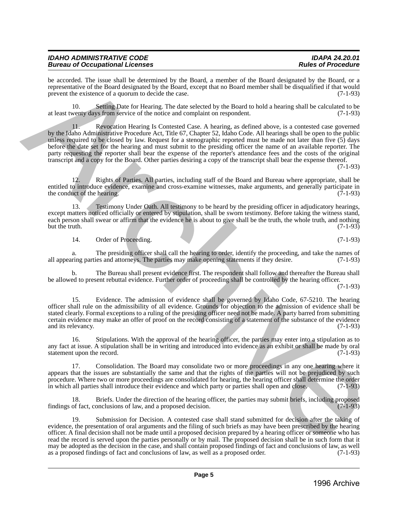| <b>IDAHO ADMINISTRATIVE CODE</b>       | <b>IDAPA 24.20.01</b>     |
|----------------------------------------|---------------------------|
| <b>Bureau of Occupational Licenses</b> | <b>Rules of Procedure</b> |

be accorded. The issue shall be determined by the Board, a member of the Board designated by the Board, or a representative of the Board designated by the Board, except that no Board member shall be disqualified if that would prevent the existence of a quorum to decide the case. (7-1-93)

10. Setting Date for Hearing. The date selected by the Board to hold a hearing shall be calculated to be at least twenty days from service of the notice and complaint on respondent. (7-1-93)

11. Revocation Hearing Is Contested Case. A hearing, as defined above, is a contested case governed by the Idaho Administrative Procedure Act, Title 67, Chapter 52, Idaho Code. All hearings shall be open to the public unless required to be closed by law. Request for a stenographic reported must be made not later than five (5) days before the date set for the hearing and must submit to the presiding officer the name of an available reporter. The party requesting the reporter shall bear the expense of the reporter's attendance fees and the costs of the original transcript and a copy for the Board. Other parties desiring a copy of the transcript shall bear the expense thereof. be according that is significant entertwint by the function of the function by the strength of the significant entertainment of the function of the function of the significant in the significant  $\alpha$  is the significant th

(7-1-93)

12. Rights of Parties. All parties, including staff of the Board and Bureau where appropriate, shall be entitled to introduce evidence, examine and cross-examine witnesses, make arguments, and generally participate in the conduct of the hearing. (7-1-93) the conduct of the hearing.

13. Testimony Under Oath. All testimony to be heard by the presiding officer in adjudicatory hearings, except matters noticed officially or entered by stipulation, shall be sworn testimony. Before taking the witness stand, each person shall swear or affirm that the evidence he is about to give shall be the truth, the whole truth, and nothing but the truth. (7-1-93) but the truth.  $(7-1-93)$ 

14. Order of Proceeding. (7-1-93)

a. The presiding officer shall call the hearing to order, identify the proceeding, and take the names of ring parties and attorneys. The parties may make opening statements if they desire. (7-1-93) all appearing parties and attorneys. The parties may make opening statements if they desire.

b. The Bureau shall present evidence first. The respondent shall follow and thereafter the Bureau shall be allowed to present rebuttal evidence. Further order of proceeding shall be controlled by the hearing officer.

(7-1-93)

15. Evidence. The admission of evidence shall be governed by Idaho Code, 67-5210. The hearing officer shall rule on the admissibility of all evidence. Grounds for objection to the admission of evidence shall be stated clearly. Formal exceptions to a ruling of the presiding officer need not be made. A party barred from submitting certain evidence may make an offer of proof on the record consisting of a statement of the substance of the evidence and its relevancy.

16. Stipulations. With the approval of the hearing officer, the parties may enter into a stipulation as to any fact at issue. A stipulation shall be in writing and introduced into evidence as an exhibit or shall be made by oral statement upon the record. (7-1-93) statement upon the record.

17. Consolidation. The Board may consolidate two or more proceedings in any one hearing where it appears that the issues are substantially the same and that the rights of the parties will not be prejudiced by such procedure. Where two or more proceedings are consolidated for hearing, the hearing officer shall determine the order<br>in which all parties shall introduce their evidence and which party or parties shall open and close. (7-1 in which all parties shall introduce their evidence and which party or parties shall open and close.

18. Briefs. Under the direction of the hearing officer, the parties may submit briefs, including proposed of fact, conclusions of law, and a proposed decision. findings of fact, conclusions of law, and a proposed decision.

19. Submission for Decision. A contested case shall stand submitted for decision after the taking of evidence, the presentation of oral arguments and the filing of such briefs as may have been prescribed by the hearing officer. A final decision shall not be made until a proposed decision prepared by a hearing officer or someone who has read the record is served upon the parties personally or by mail. The proposed decision shall be in such form that it may be adopted as the decision in the case, and shall contain proposed findings of fact and conclusions of law, as well as a proposed order. (7-1-93) as a proposed findings of fact and conclusions of law, as well as a proposed order.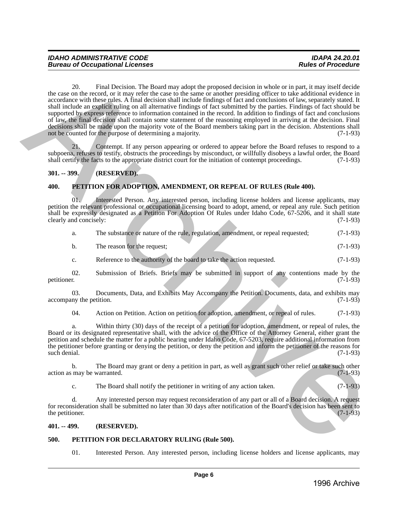20. Final Decision. The Board may adopt the proposed decision in whole or in part, it may itself decide the case on the record, or it may refer the case to the same or another presiding officer to take additional evidence in accordance with these rules. A final decision shall include findings of fact and conclusions of law, separately stated. It shall include an explicit ruling on all alternative findings of fact submitted by the parties. Findings of fact should be supported by express reference to information contained in the record. In addition to findings of fact and conclusions of law, the final decision shall contain some statement of the reasoning employed in arriving at the decision. Final decisions shall be made upon the majority vote of the Board members taking part in the decision. Abstentions shall<br>not be counted for the purpose of determining a majority. (7-1-93) not be counted for the purpose of determining a majority. the uses on the recent of the fluoriton. The Based may adopt the proposed decision in whole or in part is may here the according to the control of the same of the control of the same of the control of the same of the cont

21. Contempt. If any person appearing or ordered to appear before the Board refuses to respond to a subpoena, refuses to testify, obstructs the proceedings by misconduct, or willfully disobeys a lawful order, the Board shall certify the facts to the appropriate district court for the initiation of contempt proceedings. ( shall certify the facts to the appropriate district court for the initiation of contempt proceedings.

# <span id="page-5-0"></span>**301. -- 399. (RESERVED).**

# <span id="page-5-1"></span>**400. PETITION FOR ADOPTION, AMENDMENT, OR REPEAL OF RULES (Rule 400).**

01. Interested Person. Any interested person, including license holders and license applicants, may petition the relevant professional or occupational licensing board to adopt, amend, or repeal any rule. Such petition shall be expressly designated as a Petition For Adoption Of Rules under Idaho Code, 67-5206, and it shall state clearly and concisely: (7-1-93) clearly and concisely:

|  |  | The substance or nature of the rule, regulation, amendment, or repeal requested; | $(7-1-93)$ |
|--|--|----------------------------------------------------------------------------------|------------|
|  |  |                                                                                  |            |

| The reason for the request:<br>b. |  | $(7-1-93)$ |
|-----------------------------------|--|------------|
|-----------------------------------|--|------------|

c. Reference to the authority of the board to take the action requested. (7-1-93)

02. Submission of Briefs. Briefs may be submitted in support of any contentions made by the petitioner. (7-1-93) petitioner. (7-1-93)

03. Documents, Data, and Exhibits May Accompany the Petition. Documents, data, and exhibits may accompany the petition. (7-1-93)

04. Action on Petition. Action on petition for adoption, amendment, or repeal of rules. (7-1-93)

a. Within thirty (30) days of the receipt of a petition for adoption, amendment, or repeal of rules, the Board or its designated representative shall, with the advice of the Office of the Attorney General, either grant the petition and schedule the matter for a public hearing under Idaho Code, 67-5203, require additional information from the petitioner before granting or denying the petition, or deny the petition and inform the petitioner of the reasons for such denial. (7-1-93) such denial. (7-1-93)

b. The Board may grant or deny a petition in part, as well as grant such other relief or take such other may be warranted. (7-1-93) action as may be warranted.

c. The Board shall notify the petitioner in writing of any action taken.  $(7-1-93)$ 

d. Any interested person may request reconsideration of any part or all of a Board decision. A request for reconsideration shall be submitted no later than 30 days after notification of the Board's decision has been sent to the petitioner. (7-1-93) the petitioner.

# <span id="page-5-2"></span>**401. -- 499. (RESERVED).**

# <span id="page-5-3"></span>**500. PETITION FOR DECLARATORY RULING (Rule 500).**

01. Interested Person. Any interested person, including license holders and license applicants, may